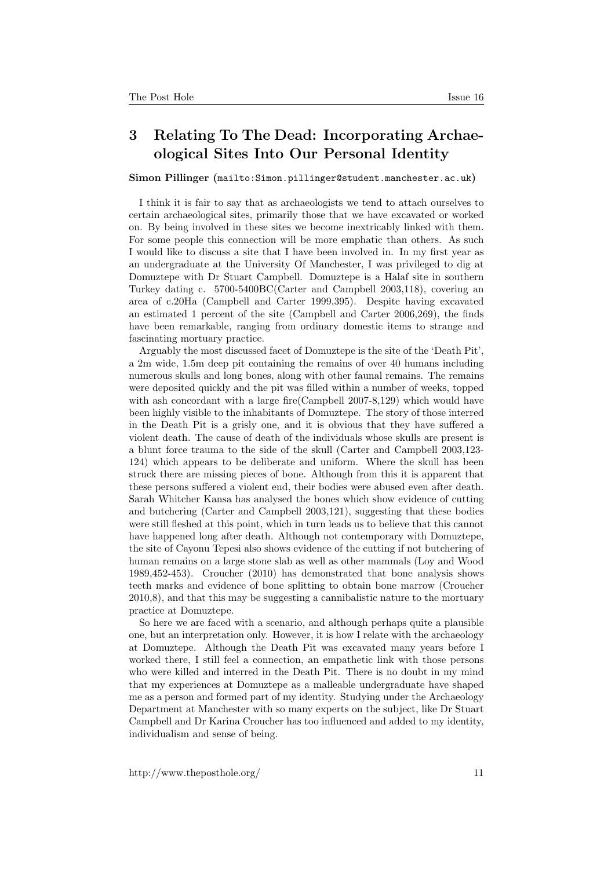## 3 Relating To The Dead: Incorporating Archaeological Sites Into Our Personal Identity

## Simon Pillinger (<mailto:Simon.pillinger@student.manchester.ac.uk>)

I think it is fair to say that as archaeologists we tend to attach ourselves to certain archaeological sites, primarily those that we have excavated or worked on. By being involved in these sites we become inextricably linked with them. For some people this connection will be more emphatic than others. As such I would like to discuss a site that I have been involved in. In my first year as an undergraduate at the University Of Manchester, I was privileged to dig at Domuztepe with Dr Stuart Campbell. Domuztepe is a Halaf site in southern Turkey dating c. 5700-5400BC(Carter and Campbell 2003,118), covering an area of c.20Ha (Campbell and Carter 1999,395). Despite having excavated an estimated 1 percent of the site (Campbell and Carter 2006,269), the finds have been remarkable, ranging from ordinary domestic items to strange and fascinating mortuary practice.

Arguably the most discussed facet of Domuztepe is the site of the 'Death Pit', a 2m wide, 1.5m deep pit containing the remains of over 40 humans including numerous skulls and long bones, along with other faunal remains. The remains were deposited quickly and the pit was filled within a number of weeks, topped with ash concordant with a large fire(Campbell 2007-8,129) which would have been highly visible to the inhabitants of Domuztepe. The story of those interred in the Death Pit is a grisly one, and it is obvious that they have suffered a violent death. The cause of death of the individuals whose skulls are present is a blunt force trauma to the side of the skull (Carter and Campbell 2003,123- 124) which appears to be deliberate and uniform. Where the skull has been struck there are missing pieces of bone. Although from this it is apparent that these persons suffered a violent end, their bodies were abused even after death. Sarah Whitcher Kansa has analysed the bones which show evidence of cutting and butchering (Carter and Campbell 2003,121), suggesting that these bodies were still fleshed at this point, which in turn leads us to believe that this cannot have happened long after death. Although not contemporary with Domuztepe, the site of Cayonu Tepesi also shows evidence of the cutting if not butchering of human remains on a large stone slab as well as other mammals (Loy and Wood 1989,452-453). Croucher (2010) has demonstrated that bone analysis shows teeth marks and evidence of bone splitting to obtain bone marrow (Croucher 2010,8), and that this may be suggesting a cannibalistic nature to the mortuary practice at Domuztepe.

So here we are faced with a scenario, and although perhaps quite a plausible one, but an interpretation only. However, it is how I relate with the archaeology at Domuztepe. Although the Death Pit was excavated many years before I worked there, I still feel a connection, an empathetic link with those persons who were killed and interred in the Death Pit. There is no doubt in my mind that my experiences at Domuztepe as a malleable undergraduate have shaped me as a person and formed part of my identity. Studying under the Archaeology Department at Manchester with so many experts on the subject, like Dr Stuart Campbell and Dr Karina Croucher has too influenced and added to my identity, individualism and sense of being.